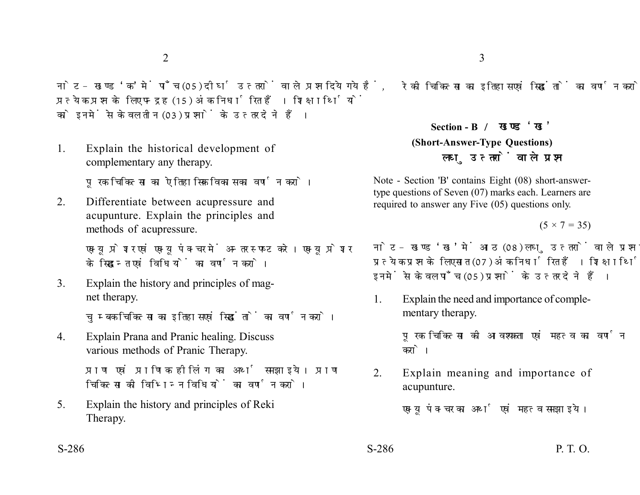नोट- खण्ड 'क' में पाँच (05) दीर्घ उत्तरों वाले प्रश्न दिये गये हैं. प्रत्येक प्रश्न के लिए पन्द्रह (15) अंक निर्धारित हैं। शिक्षार्थियों को इनमें से केवल तीन (03) प्रश्नों के उत्तर देने हैं।

1. Explain the historical development of complementary any therapy.

पूरक चिकित्सा का ऐतिहासिक विकास का वर्णन करो।

2. Differentiate between acupressure and acupunture. Explain the principles and methods of acupressure.

> एक्यूप्रेशर एवं एक्यूपंक्चर में अन्तर स्पष्ट करे। एक्यूप्रेशर के सिद्धान्त एवं विधियों का वर्णन करो।

3. Explain the history and principles of magnet therapy.

चुम्बक चिकित्सा का इतिहास एवं सिद्धांतों का वर्णन करो।

4. Explain Prana and Pranic healing. Discuss various methods of Pranic Therapy.

> प्राण एवं प्राणिक हीलिंग का अर्थ समझाइये। प्राण चिकित्सा की विभिन्न विधियों का वर्णन करो।

5. Explain the history and principles of Reki Therapy.

रेकी चिकित्सा का इतिहास एवं सिद्धांतों का वर्णन करो।

**Section - B (Short-Answer-Type Questions)** लघ उत्तरों वाले प्रश्न

Note - Section 'B' contains Eight (08) short-answertype questions of Seven (07) marks each. Learners are required to answer any Five (05) questions only.

 $(5 \times 7 = 35)$ 

नोट- खण्ड 'ख' में आठ (08) लघु उत्तरों वाले प्रश्न दिये गये हैं, प्रत्येक प्रश्न के लिए सात (07) अंक निर्धारित हैं। शिक्षार्थियों को इनमें से केवल पाँच (05) प्रश्नों के उत्तर देने हैं।

1. Explain the need and importance of complementary therapy.

> पूरक चिकित्सा की आवश्यकता एवं महत्व का वर्णन करो।

2. Explain meaning and importance of acupunture.

एक्युपंक्चर का अर्थ एवं महत्व समझाइये।